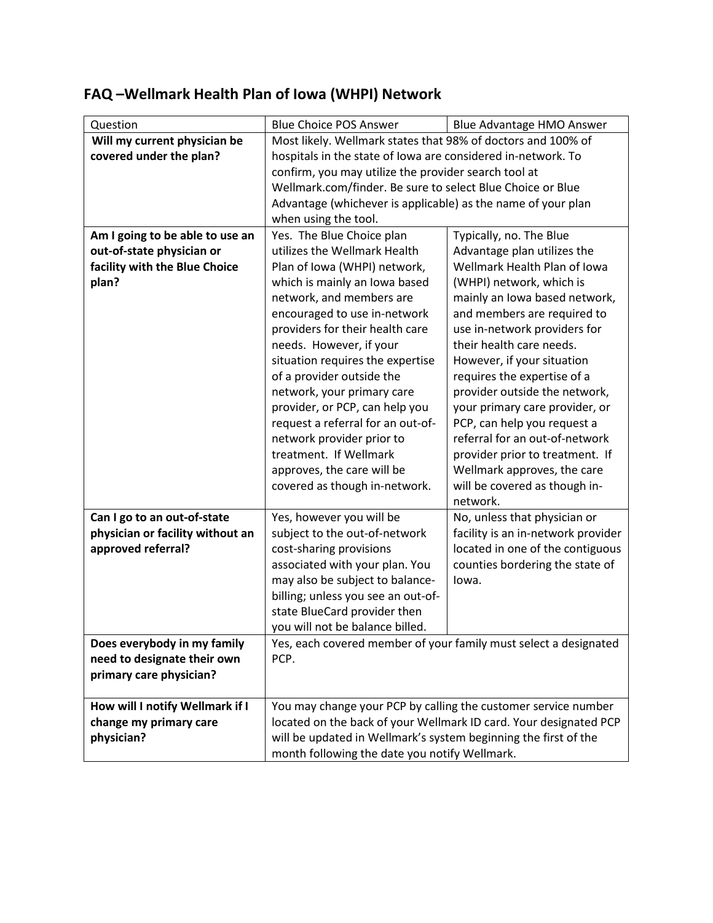## **FAQ –Wellmark Health Plan of Iowa (WHPI) Network**

| Question                         | <b>Blue Choice POS Answer</b>                                                                                                       | Blue Advantage HMO Answer          |  |
|----------------------------------|-------------------------------------------------------------------------------------------------------------------------------------|------------------------------------|--|
| Will my current physician be     | Most likely. Wellmark states that 98% of doctors and 100% of                                                                        |                                    |  |
| covered under the plan?          | hospitals in the state of lowa are considered in-network. To                                                                        |                                    |  |
|                                  | confirm, you may utilize the provider search tool at                                                                                |                                    |  |
|                                  | Wellmark.com/finder. Be sure to select Blue Choice or Blue                                                                          |                                    |  |
|                                  | Advantage (whichever is applicable) as the name of your plan                                                                        |                                    |  |
|                                  | when using the tool.                                                                                                                |                                    |  |
| Am I going to be able to use an  | Yes. The Blue Choice plan                                                                                                           | Typically, no. The Blue            |  |
| out-of-state physician or        | utilizes the Wellmark Health                                                                                                        | Advantage plan utilizes the        |  |
| facility with the Blue Choice    | Plan of Iowa (WHPI) network,                                                                                                        | Wellmark Health Plan of Iowa       |  |
| plan?                            | which is mainly an Iowa based                                                                                                       | (WHPI) network, which is           |  |
|                                  | network, and members are                                                                                                            | mainly an Iowa based network,      |  |
|                                  | encouraged to use in-network                                                                                                        | and members are required to        |  |
|                                  | providers for their health care                                                                                                     | use in-network providers for       |  |
|                                  | needs. However, if your                                                                                                             | their health care needs.           |  |
|                                  | situation requires the expertise                                                                                                    | However, if your situation         |  |
|                                  | of a provider outside the                                                                                                           | requires the expertise of a        |  |
|                                  | network, your primary care                                                                                                          | provider outside the network,      |  |
|                                  | provider, or PCP, can help you                                                                                                      | your primary care provider, or     |  |
|                                  |                                                                                                                                     |                                    |  |
|                                  | request a referral for an out-of-                                                                                                   | PCP, can help you request a        |  |
|                                  | network provider prior to                                                                                                           | referral for an out-of-network     |  |
|                                  | treatment. If Wellmark                                                                                                              | provider prior to treatment. If    |  |
|                                  | approves, the care will be                                                                                                          | Wellmark approves, the care        |  |
|                                  | covered as though in-network.                                                                                                       | will be covered as though in-      |  |
|                                  |                                                                                                                                     | network.                           |  |
| Can I go to an out-of-state      | Yes, however you will be                                                                                                            | No, unless that physician or       |  |
| physician or facility without an | subject to the out-of-network                                                                                                       | facility is an in-network provider |  |
| approved referral?               | cost-sharing provisions                                                                                                             | located in one of the contiguous   |  |
|                                  | associated with your plan. You                                                                                                      | counties bordering the state of    |  |
|                                  | may also be subject to balance-                                                                                                     | lowa.                              |  |
|                                  | billing; unless you see an out-of-                                                                                                  |                                    |  |
|                                  | state BlueCard provider then                                                                                                        |                                    |  |
|                                  | you will not be balance billed.                                                                                                     |                                    |  |
| Does everybody in my family      | Yes, each covered member of your family must select a designated                                                                    |                                    |  |
| need to designate their own      | PCP.                                                                                                                                |                                    |  |
| primary care physician?          |                                                                                                                                     |                                    |  |
|                                  |                                                                                                                                     |                                    |  |
| How will I notify Wellmark if I  |                                                                                                                                     |                                    |  |
| change my primary care           | You may change your PCP by calling the customer service number<br>located on the back of your Wellmark ID card. Your designated PCP |                                    |  |
|                                  |                                                                                                                                     |                                    |  |
| physician?                       | will be updated in Wellmark's system beginning the first of the                                                                     |                                    |  |
|                                  | month following the date you notify Wellmark.                                                                                       |                                    |  |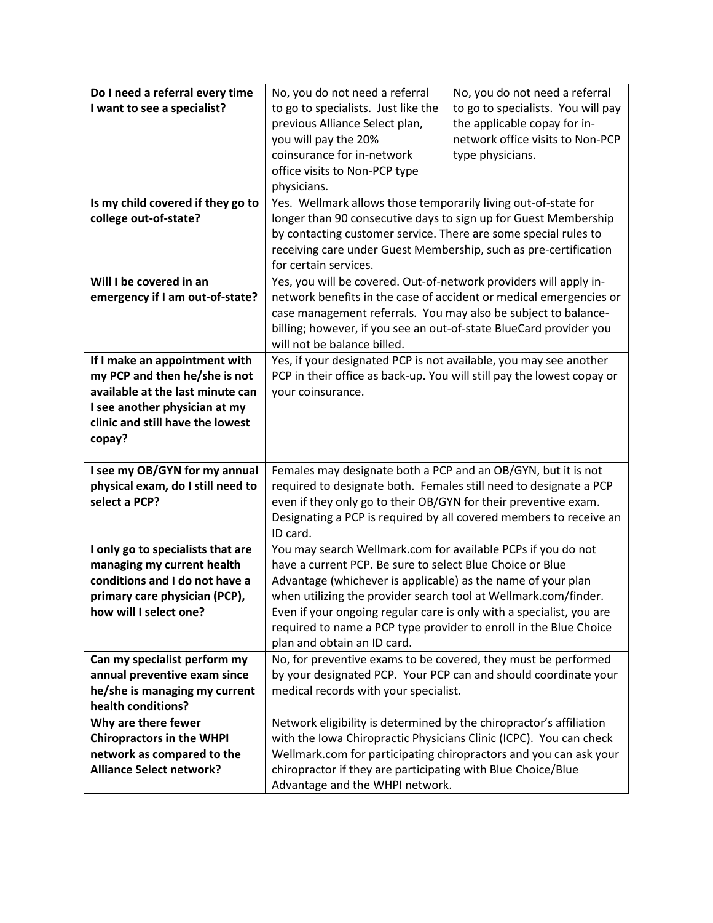| Do I need a referral every time   | No, you do not need a referral                                                                  | No, you do not need a referral     |  |
|-----------------------------------|-------------------------------------------------------------------------------------------------|------------------------------------|--|
| I want to see a specialist?       | to go to specialists. Just like the                                                             | to go to specialists. You will pay |  |
|                                   | previous Alliance Select plan,                                                                  | the applicable copay for in-       |  |
|                                   | you will pay the 20%                                                                            | network office visits to Non-PCP   |  |
|                                   | coinsurance for in-network                                                                      | type physicians.                   |  |
|                                   | office visits to Non-PCP type                                                                   |                                    |  |
|                                   | physicians.                                                                                     |                                    |  |
| Is my child covered if they go to | Yes. Wellmark allows those temporarily living out-of-state for                                  |                                    |  |
| college out-of-state?             | longer than 90 consecutive days to sign up for Guest Membership                                 |                                    |  |
|                                   | by contacting customer service. There are some special rules to                                 |                                    |  |
|                                   | receiving care under Guest Membership, such as pre-certification                                |                                    |  |
|                                   | for certain services.                                                                           |                                    |  |
| Will I be covered in an           | Yes, you will be covered. Out-of-network providers will apply in-                               |                                    |  |
| emergency if I am out-of-state?   | network benefits in the case of accident or medical emergencies or                              |                                    |  |
|                                   | case management referrals. You may also be subject to balance-                                  |                                    |  |
|                                   | billing; however, if you see an out-of-state BlueCard provider you                              |                                    |  |
|                                   | will not be balance billed.                                                                     |                                    |  |
| If I make an appointment with     | Yes, if your designated PCP is not available, you may see another                               |                                    |  |
| my PCP and then he/she is not     | PCP in their office as back-up. You will still pay the lowest copay or                          |                                    |  |
| available at the last minute can  | your coinsurance.                                                                               |                                    |  |
| I see another physician at my     |                                                                                                 |                                    |  |
| clinic and still have the lowest  |                                                                                                 |                                    |  |
| copay?                            |                                                                                                 |                                    |  |
|                                   |                                                                                                 |                                    |  |
|                                   |                                                                                                 |                                    |  |
| I see my OB/GYN for my annual     | Females may designate both a PCP and an OB/GYN, but it is not                                   |                                    |  |
| physical exam, do I still need to | required to designate both. Females still need to designate a PCP                               |                                    |  |
| select a PCP?                     | even if they only go to their OB/GYN for their preventive exam.                                 |                                    |  |
|                                   | Designating a PCP is required by all covered members to receive an<br>ID card.                  |                                    |  |
| I only go to specialists that are | You may search Wellmark.com for available PCPs if you do not                                    |                                    |  |
| managing my current health        | have a current PCP. Be sure to select Blue Choice or Blue                                       |                                    |  |
| conditions and I do not have a    | Advantage (whichever is applicable) as the name of your plan                                    |                                    |  |
| primary care physician (PCP),     | when utilizing the provider search tool at Wellmark.com/finder.                                 |                                    |  |
| how will I select one?            | Even if your ongoing regular care is only with a specialist, you are                            |                                    |  |
|                                   | required to name a PCP type provider to enroll in the Blue Choice                               |                                    |  |
|                                   | plan and obtain an ID card.                                                                     |                                    |  |
| Can my specialist perform my      | No, for preventive exams to be covered, they must be performed                                  |                                    |  |
| annual preventive exam since      | by your designated PCP. Your PCP can and should coordinate your                                 |                                    |  |
| he/she is managing my current     | medical records with your specialist.                                                           |                                    |  |
| health conditions?                |                                                                                                 |                                    |  |
| Why are there fewer               | Network eligibility is determined by the chiropractor's affiliation                             |                                    |  |
| <b>Chiropractors in the WHPI</b>  | with the Iowa Chiropractic Physicians Clinic (ICPC). You can check                              |                                    |  |
| network as compared to the        | Wellmark.com for participating chiropractors and you can ask your                               |                                    |  |
| <b>Alliance Select network?</b>   | chiropractor if they are participating with Blue Choice/Blue<br>Advantage and the WHPI network. |                                    |  |